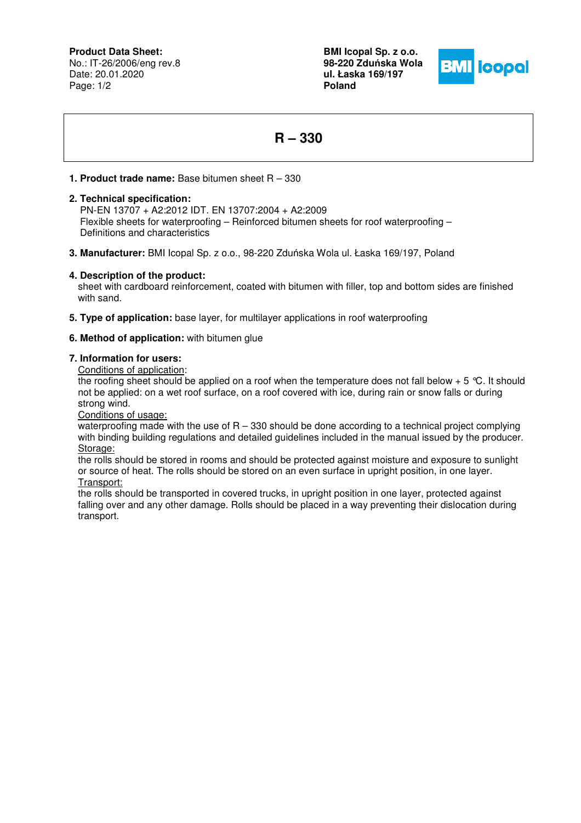**Product Data Sheet:**

No.: IT-26/2006/eng rev.8 Date: 20.01.2020 Page: 1/2

**BMI Icopal Sp. z o.o. 98-220 Zdu**ń**ska Wola ul. Łaska 169/197 Poland** 



# **R – 330**

## **1. Product trade name:** Base bitumen sheet R – 330

## **2. Technical specification:**

 PN-EN 13707 + A2:2012 IDT. EN 13707:2004 + A2:2009 Flexible sheets for waterproofing – Reinforced bitumen sheets for roof waterproofing – Definitions and characteristics

**3. Manufacturer:** BMI Icopal Sp. z o.o., 98-220 Zduńska Wola ul. Łaska 169/197, Poland

## **4. Description of the product:**

sheet with cardboard reinforcement, coated with bitumen with filler, top and bottom sides are finished with sand.

**5. Type of application:** base layer, for multilayer applications in roof waterproofing

## **6. Method of application:** with bitumen glue

### **7. Information for users:**

Conditions of application:

the roofing sheet should be applied on a roof when the temperature does not fall below  $+ 5 \degree C$ . It should not be applied: on a wet roof surface, on a roof covered with ice, during rain or snow falls or during strong wind.

Conditions of usage:

waterproofing made with the use of  $R - 330$  should be done according to a technical project complying with binding building regulations and detailed guidelines included in the manual issued by the producer. Storage:

the rolls should be stored in rooms and should be protected against moisture and exposure to sunlight or source of heat. The rolls should be stored on an even surface in upright position, in one layer. Transport:

the rolls should be transported in covered trucks, in upright position in one layer, protected against falling over and any other damage. Rolls should be placed in a way preventing their dislocation during transport.